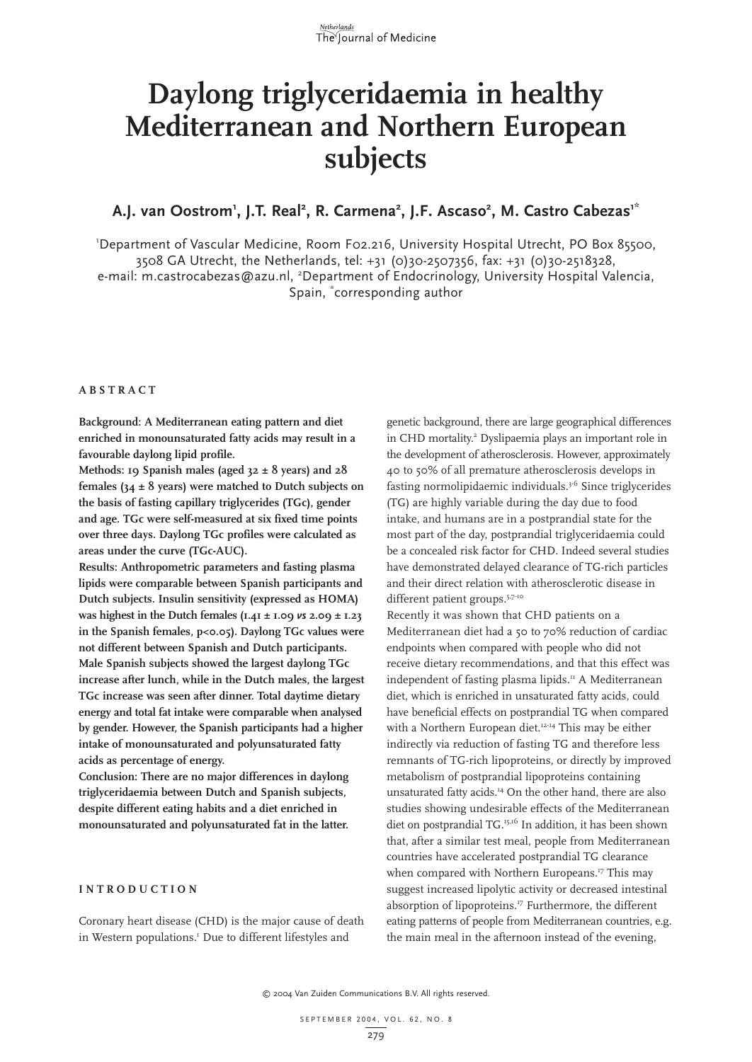

# **Daylong triglyceridaemia in healthy Mediterranean and Northern European subjects**

### A.J. van Oostrom<sup>1</sup>, J.T. Real<sup>2</sup>, R. Carmena<sup>2</sup>, J.F. Ascaso<sup>2</sup>, M. Castro Cabezas<sup>1\*</sup>

1 Department of Vascular Medicine, Room F02.216, University Hospital Utrecht, PO Box 85500, 3508 GA Utrecht, the Netherlands, tel: +31 (0)30-2507356, fax: +31 (0)30-2518328, e-mail: m.castrocabezas@azu.nl, <sup>2</sup>Department of Endocrinology, University Hospital Valencia, Spain, \* corresponding author

#### **ABSTRACT**

**Background: A Mediterranean eating pattern and diet enriched in monounsaturated fatty acids may result in a favourable daylong lipid profile.** 

**Methods: 19 Spanish males (aged 32 ± 8 years) and 28 females (34 ± 8 years) were matched to Dutch subjects on the basis of fasting capillary triglycerides (TGc), gender and age. TGc were self-measured at six fixed time points over three days. Daylong TGc profiles were calculated as areas under the curve (TGc-AUC).** 

**Results: Anthropometric parameters and fasting plasma lipids were comparable between Spanish participants and Dutch subjects. Insulin sensitivity (expressed as HOMA) was highest in the Dutch females**  $(I.4I \pm I.09 \text{ vs } 2.09 \pm I.23)$ **in the Spanish females, p<0.05). Daylong TGc values were not different between Spanish and Dutch participants. Male Spanish subjects showed the largest daylong TGc increase after lunch, while in the Dutch males, the largest TGc increase was seen after dinner. Total daytime dietary energy and total fat intake were comparable when analysed by gender. However, the Spanish participants had a higher intake of monounsaturated and polyunsaturated fatty acids as percentage of energy.** 

**Conclusion: There are no major differences in daylong triglyceridaemia between Dutch and Spanish subjects, despite different eating habits and a diet enriched in monounsaturated and polyunsaturated fat in the latter.** 

#### **INTRODUCTION**

Coronary heart disease (CHD) is the major cause of death in Western populations.<sup>1</sup> Due to different lifestyles and

genetic background, there are large geographical differences in CHD mortality.<sup>2</sup> Dyslipaemia plays an important role in the development of atherosclerosis. However, approximately 40 to 50% of all premature atherosclerosis develops in fasting normolipidaemic individuals.<sup>3-6</sup> Since triglycerides (TG) are highly variable during the day due to food intake, and humans are in a postprandial state for the most part of the day, postprandial triglyceridaemia could be a concealed risk factor for CHD. Indeed several studies have demonstrated delayed clearance of TG-rich particles and their direct relation with atherosclerotic disease in different patient groups.<sup>5,7-10</sup>

Recently it was shown that CHD patients on a Mediterranean diet had a 50 to 70% reduction of cardiac endpoints when compared with people who did not receive dietary recommendations, and that this effect was independent of fasting plasma lipids.<sup>11</sup> A Mediterranean diet, which is enriched in unsaturated fatty acids, could have beneficial effects on postprandial TG when compared with a Northern European diet.<sup>12-14</sup> This may be either indirectly via reduction of fasting TG and therefore less remnants of TG-rich lipoproteins, or directly by improved metabolism of postprandial lipoproteins containing unsaturated fatty acids.14 On the other hand, there are also studies showing undesirable effects of the Mediterranean diet on postprandial TG.<sup>15,16</sup> In addition, it has been shown that, after a similar test meal, people from Mediterranean countries have accelerated postprandial TG clearance when compared with Northern Europeans.<sup>17</sup> This may suggest increased lipolytic activity or decreased intestinal absorption of lipoproteins.<sup>17</sup> Furthermore, the different eating patterns of people from Mediterranean countries, e.g. the main meal in the afternoon instead of the evening,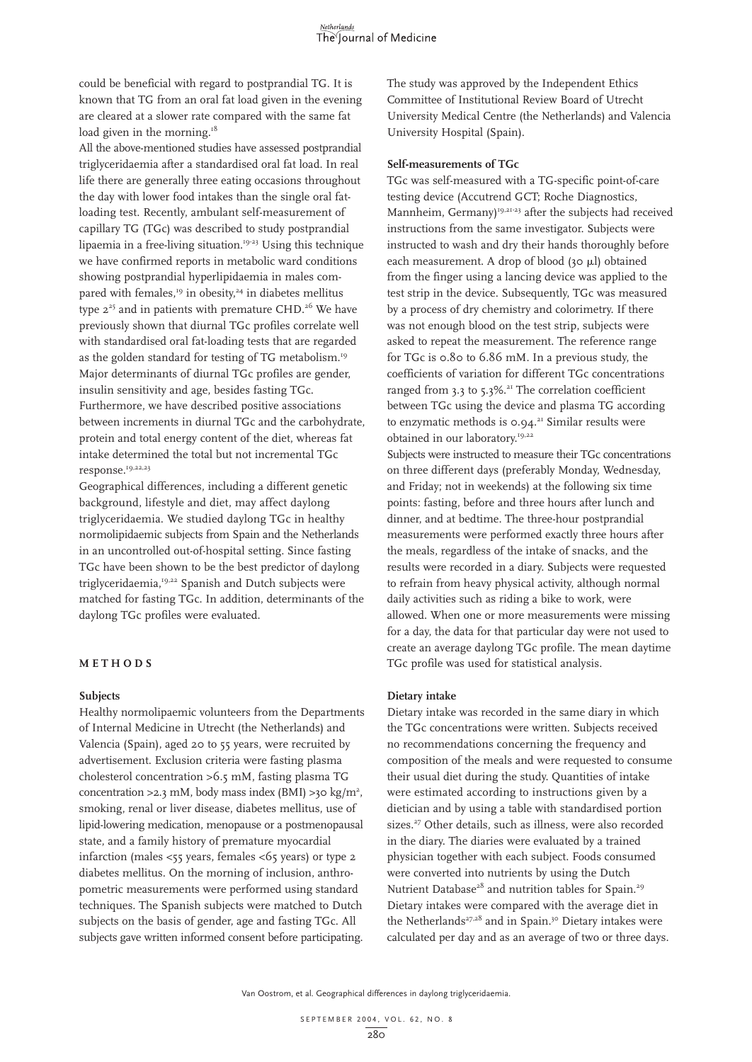could be beneficial with regard to postprandial TG. It is known that TG from an oral fat load given in the evening are cleared at a slower rate compared with the same fat load given in the morning.<sup>18</sup>

All the above-mentioned studies have assessed postprandial triglyceridaemia after a standardised oral fat load. In real life there are generally three eating occasions throughout the day with lower food intakes than the single oral fatloading test. Recently, ambulant self-measurement of capillary TG (TGc) was described to study postprandial lipaemia in a free-living situation.19-23 Using this technique we have confirmed reports in metabolic ward conditions showing postprandial hyperlipidaemia in males compared with females,<sup>19</sup> in obesity,<sup>24</sup> in diabetes mellitus type  $2^{25}$  and in patients with premature CHD.<sup>26</sup> We have previously shown that diurnal TGc profiles correlate well with standardised oral fat-loading tests that are regarded as the golden standard for testing of TG metabolism.<sup>19</sup> Major determinants of diurnal TGc profiles are gender, insulin sensitivity and age, besides fasting TGc. Furthermore, we have described positive associations between increments in diurnal TGc and the carbohydrate, protein and total energy content of the diet, whereas fat intake determined the total but not incremental TGc response.<sup>19,22,23</sup>

Geographical differences, including a different genetic background, lifestyle and diet, may affect daylong triglyceridaemia. We studied daylong TGc in healthy normolipidaemic subjects from Spain and the Netherlands in an uncontrolled out-of-hospital setting. Since fasting TGc have been shown to be the best predictor of daylong triglyceridaemia,<sup>19,22</sup> Spanish and Dutch subjects were matched for fasting TGc. In addition, determinants of the daylong TGc profiles were evaluated.

#### **METHODS**

#### **Subjects**

Healthy normolipaemic volunteers from the Departments of Internal Medicine in Utrecht (the Netherlands) and Valencia (Spain), aged 20 to 55 years, were recruited by advertisement. Exclusion criteria were fasting plasma cholesterol concentration >6.5 mM, fasting plasma TG concentration >2.3 mM, body mass index (BMI) >30 kg/m<sup>2</sup>, smoking, renal or liver disease, diabetes mellitus, use of lipid-lowering medication, menopause or a postmenopausal state, and a family history of premature myocardial infarction (males <55 years, females <65 years) or type 2 diabetes mellitus. On the morning of inclusion, anthropometric measurements were performed using standard techniques. The Spanish subjects were matched to Dutch subjects on the basis of gender, age and fasting TGc. All subjects gave written informed consent before participating.

The study was approved by the Independent Ethics Committee of Institutional Review Board of Utrecht University Medical Centre (the Netherlands) and Valencia University Hospital (Spain).

#### **Self-measurements of TGc**

TGc was self-measured with a TG-specific point-of-care testing device (Accutrend GCT; Roche Diagnostics, Mannheim, Germany)<sup>19,21-23</sup> after the subjects had received instructions from the same investigator. Subjects were instructed to wash and dry their hands thoroughly before each measurement. A drop of blood (30  $\mu$ l) obtained from the finger using a lancing device was applied to the test strip in the device. Subsequently, TGc was measured by a process of dry chemistry and colorimetry. If there was not enough blood on the test strip, subjects were asked to repeat the measurement. The reference range for TGc is 0.80 to 6.86 mM. In a previous study, the coefficients of variation for different TGc concentrations ranged from 3.3 to 5.3%.<sup>21</sup> The correlation coefficient between TGc using the device and plasma TG according to enzymatic methods is  $0.94$ .<sup>21</sup> Similar results were obtained in our laboratory.<sup>19,22</sup>

Subjects were instructed to measure their TGc concentrations on three different days (preferably Monday, Wednesday, and Friday; not in weekends) at the following six time points: fasting, before and three hours after lunch and dinner, and at bedtime. The three-hour postprandial measurements were performed exactly three hours after the meals, regardless of the intake of snacks, and the results were recorded in a diary. Subjects were requested to refrain from heavy physical activity, although normal daily activities such as riding a bike to work, were allowed. When one or more measurements were missing for a day, the data for that particular day were not used to create an average daylong TGc profile. The mean daytime TGc profile was used for statistical analysis.

#### **Dietary intake**

Dietary intake was recorded in the same diary in which the TGc concentrations were written. Subjects received no recommendations concerning the frequency and composition of the meals and were requested to consume their usual diet during the study. Quantities of intake were estimated according to instructions given by a dietician and by using a table with standardised portion sizes.<sup>27</sup> Other details, such as illness, were also recorded in the diary. The diaries were evaluated by a trained physician together with each subject. Foods consumed were converted into nutrients by using the Dutch Nutrient Database<sup>28</sup> and nutrition tables for Spain.<sup>29</sup> Dietary intakes were compared with the average diet in the Netherlands<sup>27,28</sup> and in Spain.<sup>30</sup> Dietary intakes were calculated per day and as an average of two or three days.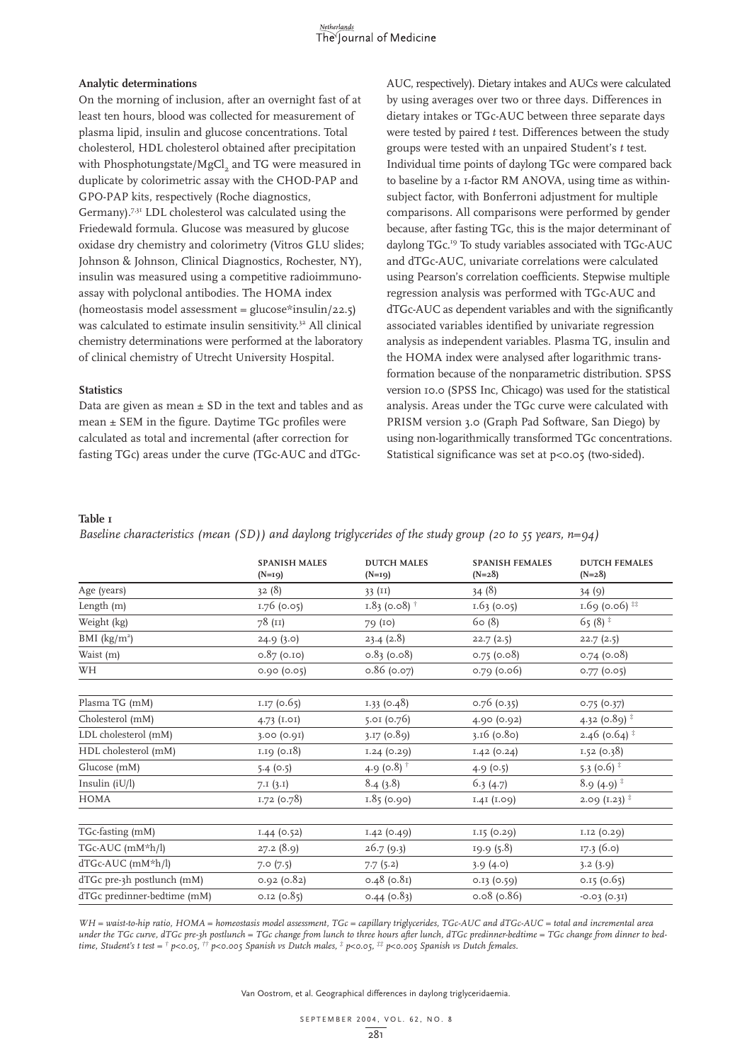#### **Analytic determinations**

On the morning of inclusion, after an overnight fast of at least ten hours, blood was collected for measurement of plasma lipid, insulin and glucose concentrations. Total cholesterol, HDL cholesterol obtained after precipitation with Phosphotungstate/MgCl<sub>2</sub> and TG were measured in duplicate by colorimetric assay with the CHOD-PAP and GPO-PAP kits, respectively (Roche diagnostics, Germany).7,31 LDL cholesterol was calculated using the Friedewald formula. Glucose was measured by glucose oxidase dry chemistry and colorimetry (Vitros GLU slides; Johnson & Johnson, Clinical Diagnostics, Rochester, NY), insulin was measured using a competitive radioimmunoassay with polyclonal antibodies. The HOMA index (homeostasis model assessment =  $glucose*insulin/22.5$ ) was calculated to estimate insulin sensitivity.<sup>32</sup> All clinical chemistry determinations were performed at the laboratory of clinical chemistry of Utrecht University Hospital.

#### **Statistics**

Data are given as mean  $\pm$  SD in the text and tables and as mean  $\pm$  SEM in the figure. Daytime TGc profiles were calculated as total and incremental (after correction for fasting TGc) areas under the curve (TGc-AUC and dTGcAUC, respectively). Dietary intakes and AUCs were calculated by using averages over two or three days. Differences in dietary intakes or TGc-AUC between three separate days were tested by paired *t* test. Differences between the study groups were tested with an unpaired Student's *t* test. Individual time points of daylong TGc were compared back to baseline by a 1-factor RM ANOVA, using time as withinsubject factor, with Bonferroni adjustment for multiple comparisons. All comparisons were performed by gender because, after fasting TGc, this is the major determinant of daylong TGc.19 To study variables associated with TGc-AUC and dTGc-AUC, univariate correlations were calculated using Pearson's correlation coefficients. Stepwise multiple regression analysis was performed with TGc-AUC and dTGc-AUC as dependent variables and with the significantly associated variables identified by univariate regression analysis as independent variables. Plasma TG, insulin and the HOMA index were analysed after logarithmic transformation because of the nonparametric distribution. SPSS version 10.0 (SPSS Inc, Chicago) was used for the statistical analysis. Areas under the TGc curve were calculated with PRISM version 3.0 (Graph Pad Software, San Diego) by using non-logarithmically transformed TGc concentrations. Statistical significance was set at p<0.05 (two-sided).

#### **Table 1**

*Baseline characteristics (mean (SD)) and daylong triglycerides of the study group (20 to 55 years, n=94)*

|                             | <b>SPANISH MALES</b><br>$(N=19)$ | <b>DUTCH MALES</b><br>$(N=19)$ | <b>SPANISH FEMALES</b><br>$(N=28)$ | <b>DUTCH FEMALES</b><br>$(N=28)$ |
|-----------------------------|----------------------------------|--------------------------------|------------------------------------|----------------------------------|
| Age (years)                 | 32(8)                            | 33 $(II)$                      | 34(8)                              | 34(9)                            |
| Length (m)                  | 1.76 (0.05)                      | $1.83$ (0.08) <sup>†</sup>     | 1.63(0.05)                         | 1.69 (0.06) $**$                 |
| Weight (kg)                 | 78 (II)                          | 79 (10)                        | 60(8)                              | 65 $(8)$ <sup>*</sup>            |
| BMI $(kg/m2)$               | 24.9(3.0)                        | 23.4(2.8)                      | 22.7(2.5)                          | 22.7(2.5)                        |
| Waist (m)                   | $0.87$ (0.10)                    | $0.83$ (0.08)                  | 0.75(0.08)                         | $0.74$ (0.08)                    |
| WH                          | 0.90(0.05)                       | $0.86$ (0.07)                  | 0.79(0.06)                         | $0.77$ (0.05)                    |
| Plasma TG (mM)              | 1.17(0.65)                       | $1.33$ (0.48)                  | $0.76$ (0.35)                      | 0.75(0.37)                       |
| Cholesterol (mM)            | 4.73 $(I.OI)$                    | 5.01(0.76)                     | 4.90 (0.92)                        | 4.32 (0.89) <sup>‡</sup>         |
| LDL cholesterol (mM)        | 3.00 (0.91)                      | 3.17(0.89)                     | $3.16$ (0.80)                      | 2.46 ( $0.64$ ) $*$              |
| HDL cholesterol (mM)        | 1.19 (0.18)                      | 1.24(0.29)                     | 1.42(0.24)                         | 1.52(0.38)                       |
| Glucose (mM)                | 5.4(0.5)                         | 4.9 (0.8) $^{\dagger}$         | 4.9(0.5)                           | 5.3 (0.6) $*$                    |
| Insulin $(iU/l)$            | 7.1(3.1)                         | 8.4(3.8)                       | 6.3(4.7)                           | $8.9(4.9)^*$                     |
| HOMA                        | 1.72 (0.78)                      | 1.85(0.90)                     | 1.41 (1.09)                        | $2.09(1.23)^{+}$                 |
| TGc-fasting (mM)            | $1.44$ (0.52)                    | 1.42(0.49)                     | 1.15 (0.29)                        | 1.12 (0.29)                      |
| TGc-AUC (mM*h/l)            | 27.2 (8.9)                       | 26.7(9.3)                      | 19.9 (5.8)                         | 17.3 (6.0)                       |
| dTGc-AUC (mM*h/l)           | 7.0(7.5)                         | 7.7(5.2)                       | 3.9(4.0)                           | 3.2(3.9)                         |
| dTGc pre-3h postlunch (mM)  | 0.92(0.82)                       | $0.48$ (0.81)                  | 0.13(0.59)                         | 0.15(0.65)                       |
| dTGc predinner-bedtime (mM) | $0.12$ (0.85)                    | $0.44$ (0.83)                  | $0.08$ (0.86)                      | $-0.03(0.31)$                    |

*WH = waist-to-hip ratio, HOMA = homeostasis model assessment, TGc = capillary triglycerides, TGc-AUC and dTGc-AUC = total and incremental area under the TGc curve, dTGc pre-3h postlunch = TGc change from lunch to three hours after lunch, dTGc predinner-bedtime = TGc change from dinner to bedtime, Student's t test = † p<0.05, †† p<0.005 Spanish vs Dutch males, ‡ p<0.05, ‡‡ p<0.005 Spanish vs Dutch females.*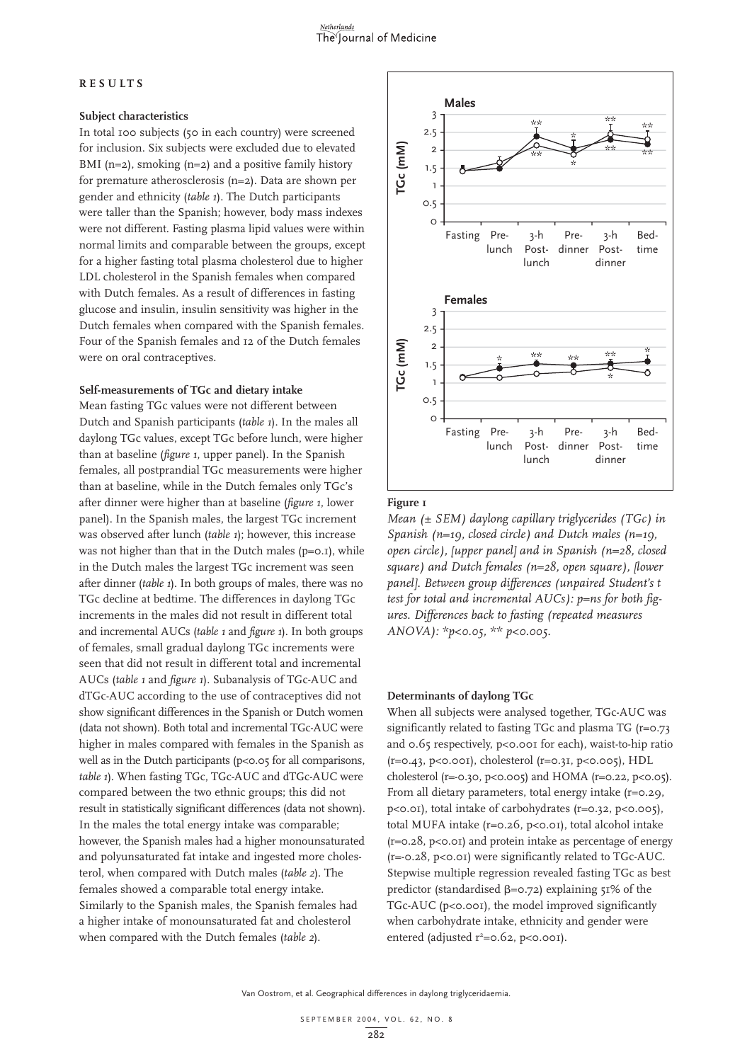#### **RESULTS**

#### **Subject characteristics**

In total 100 subjects (50 in each country) were screened for inclusion. Six subjects were excluded due to elevated BMI ( $n=2$ ), smoking ( $n=2$ ) and a positive family history for premature atherosclerosis (n=2). Data are shown per gender and ethnicity (*table 1*). The Dutch participants were taller than the Spanish; however, body mass indexes were not different. Fasting plasma lipid values were within normal limits and comparable between the groups, except for a higher fasting total plasma cholesterol due to higher LDL cholesterol in the Spanish females when compared with Dutch females. As a result of differences in fasting glucose and insulin, insulin sensitivity was higher in the Dutch females when compared with the Spanish females. Four of the Spanish females and 12 of the Dutch females were on oral contraceptives.

#### **Self-measurements of TGc and dietary intake**

Mean fasting TGc values were not different between Dutch and Spanish participants (*table 1*). In the males all daylong TGc values, except TGc before lunch, were higher than at baseline (*figure 1*, upper panel). In the Spanish females, all postprandial TGc measurements were higher than at baseline, while in the Dutch females only TGc's after dinner were higher than at baseline (*figure 1*, lower panel). In the Spanish males, the largest TGc increment was observed after lunch (*table 1*); however, this increase was not higher than that in the Dutch males (p=0.1), while in the Dutch males the largest TGc increment was seen after dinner (*table 1*). In both groups of males, there was no TGc decline at bedtime. The differences in daylong TGc increments in the males did not result in different total and incremental AUCs (*table 1* and *figure 1*). In both groups of females, small gradual daylong TGc increments were seen that did not result in different total and incremental AUCs (*table 1* and *figure 1*). Subanalysis of TGc-AUC and dTGc-AUC according to the use of contraceptives did not show significant differences in the Spanish or Dutch women (data not shown). Both total and incremental TGc-AUC were higher in males compared with females in the Spanish as well as in the Dutch participants (p<0.05 for all comparisons, *table 1*). When fasting TGc, TGc-AUC and dTGc-AUC were compared between the two ethnic groups; this did not result in statistically significant differences (data not shown). In the males the total energy intake was comparable; however, the Spanish males had a higher monounsaturated and polyunsaturated fat intake and ingested more cholesterol, when compared with Dutch males (*table 2*). The females showed a comparable total energy intake. Similarly to the Spanish males, the Spanish females had a higher intake of monounsaturated fat and cholesterol when compared with the Dutch females (*table 2*).



#### **Figure 1**

*Mean (± SEM) daylong capillary triglycerides (TGc) in Spanish (n=19, closed circle) and Dutch males (n=19, open circle), [upper panel] and in Spanish (n=28, closed square) and Dutch females (n=28, open square), [lower panel]. Between group differences (unpaired Student's t test for total and incremental AUCs): p=ns for both figures. Differences back to fasting (repeated measures ANOVA): \*p<0.05, \*\* p<0.005.*

#### **Determinants of daylong TGc**

When all subjects were analysed together, TGc-AUC was significantly related to fasting TGc and plasma TG (r=0.73 and 0.65 respectively, p<0.001 for each), waist-to-hip ratio  $(r=0.43, p<0.001)$ , cholesterol  $(r=0.31, p<0.005)$ , HDL cholesterol (r=-0.30, p<0.005) and HOMA (r=0.22, p<0.05). From all dietary parameters, total energy intake (r=0.29, p<0.01), total intake of carbohydrates (r=0.32, p<0.005), total MUFA intake (r=0.26, p<0.01), total alcohol intake  $(r=0.28, p<0.01)$  and protein intake as percentage of energy (r=-0.28, p<0.01) were significantly related to TGc-AUC. Stepwise multiple regression revealed fasting TGc as best predictor (standardised  $\beta = 0.72$ ) explaining 51% of the TGc-AUC (p<0.001), the model improved significantly when carbohydrate intake, ethnicity and gender were entered (adjusted  $r^2 = 0.62$ , p<0.001).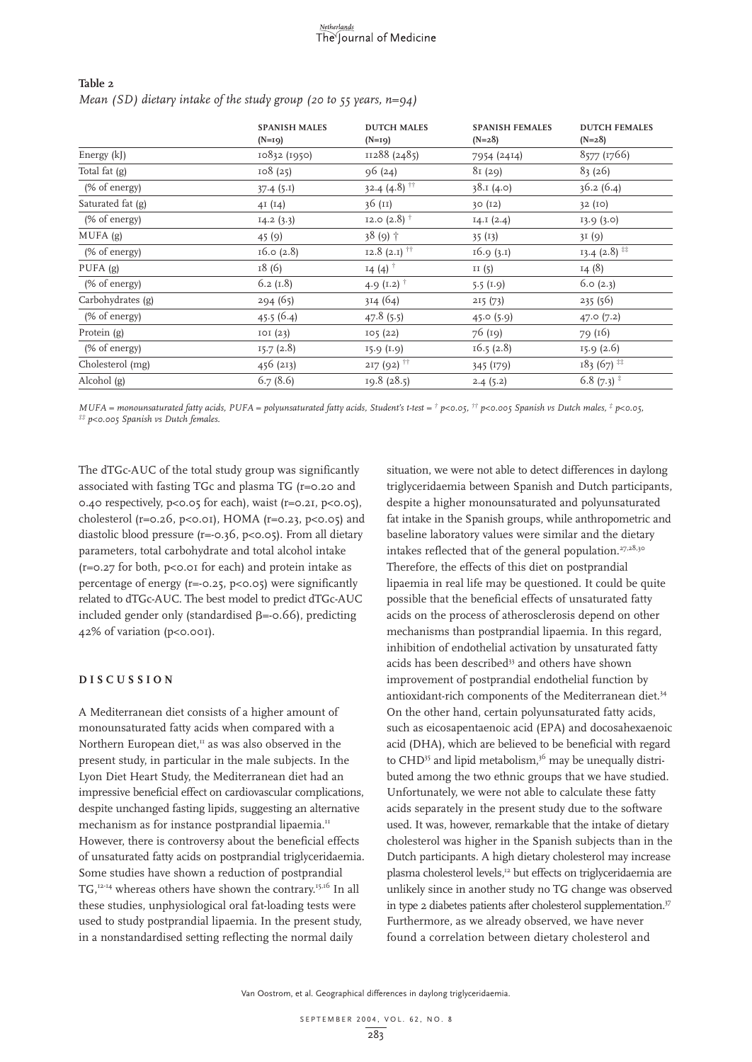| Table 2 |                                                                       |  |  |
|---------|-----------------------------------------------------------------------|--|--|
|         | Mean (SD) dietary intake of the study group (20 to 55 years, $n=94$ ) |  |  |

|                   | <b>SPANISH MALES</b><br>$(N=19)$ | <b>DUTCH MALES</b><br>$(N=19)$ | <b>SPANISH FEMALES</b><br>$(N=28)$ | <b>DUTCH FEMALES</b><br>$(N=28)$ |
|-------------------|----------------------------------|--------------------------------|------------------------------------|----------------------------------|
| Energy (kJ)       | 10832 (1950)                     | II288 (2485)                   | 7954 (2414)                        | 8577 (1766)                      |
| Total fat (g)     | 108(25)                          | 96(24)                         | 81(29)                             | 83(26)                           |
| (% of energy)     | 37.4(5.1)                        | 32.4 $(4.8)$ <sup>††</sup>     | 38.1(4.0)                          | 36.2(6.4)                        |
| Saturated fat (g) | 4I(14)                           | 36 (11)                        | 30 (12)                            | 32(10)                           |
| (% of energy)     | 14.2(3.3)                        | 12.0 $(2.8)$ <sup>†</sup>      | I4.I (2.4)                         | 13.9(3.0)                        |
| MUFA(g)           | 45(9)                            | 38 (9) +                       | 35(13)                             | 3I(9)                            |
| (% of energy)     | 16.0 (2.8)                       | 12.8 (2.1) $^{\dagger\dagger}$ | 16.9(3.1)                          | $13.4$ (2.8) <sup>##</sup>       |
| PUFA(g)           | 18(6)                            | $14(4)$ <sup>†</sup>           | II $(5)$                           | 14(8)                            |
| (% of energy)     | 6.2 $(I.8)$                      | 4.9 $(1.2)$ <sup>†</sup>       | $5.5$ (I.9)                        | 6.0 (2.3)                        |
| Carbohydrates (g) | 294(65)                          | 314(64)                        | 215(73)                            | 235(56)                          |
| (% of energy)     | 45.5 $(6.4)$                     | 47.8(5.5)                      | 45.0(5.9)                          | 47.0(7.2)                        |
| Protein (g)       | IOI (23)                         | 105(22)                        | 76 (19)                            | 79 (16)                          |
| (% of energy)     | 15.7(2.8)                        | 15.9(1.9)                      | 16.5(2.8)                          | 15.9(2.6)                        |
| Cholesterol (mg)  | 456 (213)                        | $217(92)$ <sup>††</sup>        | 345 (179)                          | $183(67)$ <sup>##</sup>          |
| Alcohol (g)       | 6.7(8.6)                         | 19.8(28.5)                     | 2.4(5.2)                           | 6.8 $(7.3)^*$                    |

MUFA = monounsaturated fatty acids, PUFA = polyunsaturated fatty acids, Student's t-test =  $\dagger$  p<0.05,  $\dagger \dagger$  p<0.005 Spanish vs Dutch males,  $\dagger$  p<0.05,  $\ddagger \dagger$  p<0.005 Spanish vs Dutch males,  $\dagger$  p<0.05,

The dTGc-AUC of the total study group was significantly associated with fasting TGc and plasma TG (r=0.20 and 0.40 respectively,  $p \le 0.05$  for each), waist ( $r = 0.21$ ,  $p \le 0.05$ ), cholesterol (r=0.26, p<0.01), HOMA (r=0.23, p<0.05) and diastolic blood pressure (r=-0.36, p<0.05). From all dietary parameters, total carbohydrate and total alcohol intake  $(r=0.27$  for both,  $p<0.01$  for each) and protein intake as percentage of energy ( $r=-0.25$ ,  $p<0.05$ ) were significantly related to dTGc-AUC. The best model to predict dTGc-AUC included gender only (standardised  $\beta = -0.66$ ), predicting 42% of variation (p<0.001).

#### **DISCUSSION**

A Mediterranean diet consists of a higher amount of monounsaturated fatty acids when compared with a Northern European diet, $^{\text{II}}$  as was also observed in the present study, in particular in the male subjects. In the Lyon Diet Heart Study, the Mediterranean diet had an impressive beneficial effect on cardiovascular complications, despite unchanged fasting lipids, suggesting an alternative mechanism as for instance postprandial lipaemia.<sup>11</sup> However, there is controversy about the beneficial effects of unsaturated fatty acids on postprandial triglyceridaemia. Some studies have shown a reduction of postprandial TG,12-14 whereas others have shown the contrary.15,16 In all these studies, unphysiological oral fat-loading tests were used to study postprandial lipaemia. In the present study, in a nonstandardised setting reflecting the normal daily

situation, we were not able to detect differences in daylong triglyceridaemia between Spanish and Dutch participants, despite a higher monounsaturated and polyunsaturated fat intake in the Spanish groups, while anthropometric and baseline laboratory values were similar and the dietary intakes reflected that of the general population.<sup>27,28,30</sup> Therefore, the effects of this diet on postprandial lipaemia in real life may be questioned. It could be quite possible that the beneficial effects of unsaturated fatty acids on the process of atherosclerosis depend on other mechanisms than postprandial lipaemia. In this regard, inhibition of endothelial activation by unsaturated fatty acids has been described<sup>33</sup> and others have shown improvement of postprandial endothelial function by antioxidant-rich components of the Mediterranean diet.<sup>34</sup> On the other hand, certain polyunsaturated fatty acids, such as eicosapentaenoic acid (EPA) and docosahexaenoic acid (DHA), which are believed to be beneficial with regard to CHD<sup>35</sup> and lipid metabolism,<sup>36</sup> may be unequally distributed among the two ethnic groups that we have studied. Unfortunately, we were not able to calculate these fatty acids separately in the present study due to the software used. It was, however, remarkable that the intake of dietary cholesterol was higher in the Spanish subjects than in the Dutch participants. A high dietary cholesterol may increase plasma cholesterol levels,<sup>12</sup> but effects on triglyceridaemia are unlikely since in another study no TG change was observed in type 2 diabetes patients after cholesterol supplementation.<sup>37</sup> Furthermore, as we already observed, we have never found a correlation between dietary cholesterol and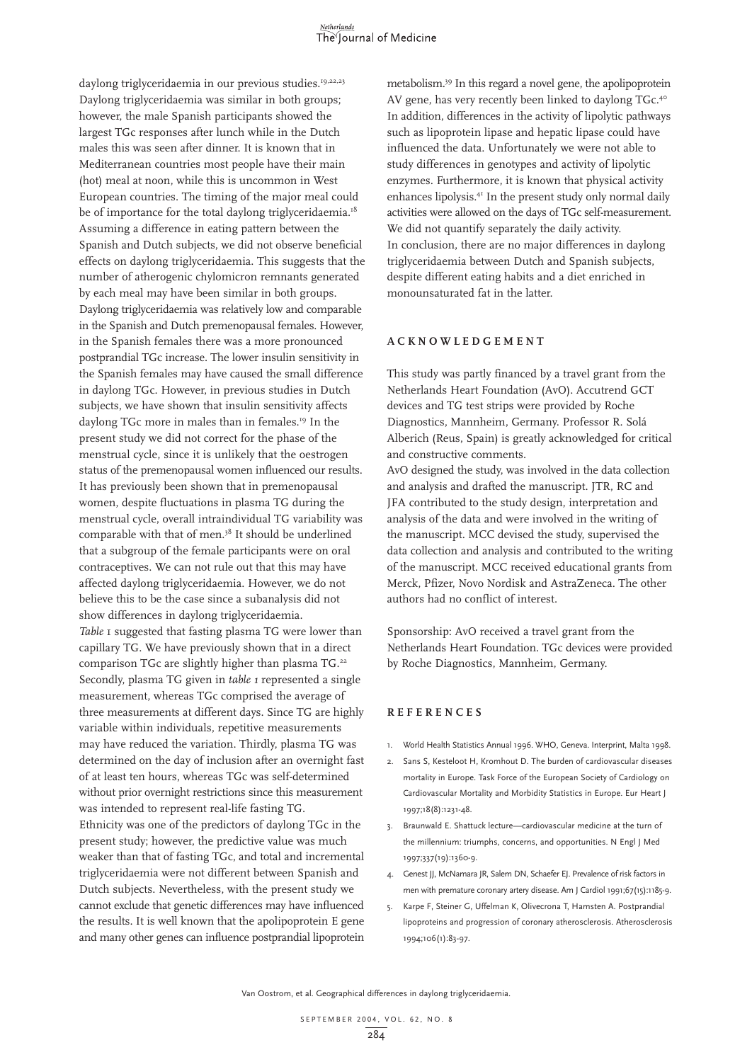daylong triglyceridaemia in our previous studies.<sup>19,22,23</sup> Daylong triglyceridaemia was similar in both groups; however, the male Spanish participants showed the largest TGc responses after lunch while in the Dutch males this was seen after dinner. It is known that in Mediterranean countries most people have their main (hot) meal at noon, while this is uncommon in West European countries. The timing of the major meal could be of importance for the total daylong triglyceridaemia.<sup>18</sup> Assuming a difference in eating pattern between the Spanish and Dutch subjects, we did not observe beneficial effects on daylong triglyceridaemia. This suggests that the number of atherogenic chylomicron remnants generated by each meal may have been similar in both groups. Daylong triglyceridaemia was relatively low and comparable in the Spanish and Dutch premenopausal females. However, in the Spanish females there was a more pronounced postprandial TGc increase. The lower insulin sensitivity in the Spanish females may have caused the small difference in daylong TGc. However, in previous studies in Dutch subjects, we have shown that insulin sensitivity affects daylong TGc more in males than in females.<sup>19</sup> In the present study we did not correct for the phase of the menstrual cycle, since it is unlikely that the oestrogen status of the premenopausal women influenced our results. It has previously been shown that in premenopausal women, despite fluctuations in plasma TG during the menstrual cycle, overall intraindividual TG variability was comparable with that of men.<sup>38</sup> It should be underlined that a subgroup of the female participants were on oral contraceptives. We can not rule out that this may have affected daylong triglyceridaemia. However, we do not believe this to be the case since a subanalysis did not show differences in daylong triglyceridaemia. *Table* 1 suggested that fasting plasma TG were lower than capillary TG. We have previously shown that in a direct comparison TGc are slightly higher than plasma TG.<sup>22</sup> Secondly, plasma TG given in *table 1* represented a single measurement, whereas TGc comprised the average of three measurements at different days. Since TG are highly variable within individuals, repetitive measurements may have reduced the variation. Thirdly, plasma TG was determined on the day of inclusion after an overnight fast of at least ten hours, whereas TGc was self-determined without prior overnight restrictions since this measurement was intended to represent real-life fasting TG. Ethnicity was one of the predictors of daylong TGc in the present study; however, the predictive value was much weaker than that of fasting TGc, and total and incremental triglyceridaemia were not different between Spanish and Dutch subjects. Nevertheless, with the present study we cannot exclude that genetic differences may have influenced the results. It is well known that the apolipoprotein E gene and many other genes can influence postprandial lipoprotein metabolism.39 In this regard a novel gene, the apolipoprotein AV gene, has very recently been linked to daylong TGc.<sup>40</sup> In addition, differences in the activity of lipolytic pathways such as lipoprotein lipase and hepatic lipase could have influenced the data. Unfortunately we were not able to study differences in genotypes and activity of lipolytic enzymes. Furthermore, it is known that physical activity enhances lipolysis.<sup>41</sup> In the present study only normal daily activities were allowed on the days of TGc self-measurement. We did not quantify separately the daily activity. In conclusion, there are no major differences in daylong triglyceridaemia between Dutch and Spanish subjects, despite different eating habits and a diet enriched in monounsaturated fat in the latter.

#### **ACKNOWLEDGEMENT**

This study was partly financed by a travel grant from the Netherlands Heart Foundation (AvO). Accutrend GCT devices and TG test strips were provided by Roche Diagnostics, Mannheim, Germany. Professor R. Solá Alberich (Reus, Spain) is greatly acknowledged for critical and constructive comments.

AvO designed the study, was involved in the data collection and analysis and drafted the manuscript. JTR, RC and JFA contributed to the study design, interpretation and analysis of the data and were involved in the writing of the manuscript. MCC devised the study, supervised the data collection and analysis and contributed to the writing of the manuscript. MCC received educational grants from Merck, Pfizer, Novo Nordisk and AstraZeneca. The other authors had no conflict of interest.

Sponsorship: AvO received a travel grant from the Netherlands Heart Foundation. TGc devices were provided by Roche Diagnostics, Mannheim, Germany.

#### **REFERENCES**

- 1. World Health Statistics Annual 1996. WHO, Geneva. Interprint, Malta 1998.
- 2. Sans S, Kesteloot H, Kromhout D. The burden of cardiovascular diseases mortality in Europe. Task Force of the European Society of Cardiology on Cardiovascular Mortality and Morbidity Statistics in Europe. Eur Heart J 1997;18(8):1231-48.
- 3. Braunwald E. Shattuck lecture—cardiovascular medicine at the turn of the millennium: triumphs, concerns, and opportunities. N Engl J Med 1997;337(19):1360-9.
- 4. Genest JJ, McNamara JR, Salem DN, Schaefer EJ. Prevalence of risk factors in men with premature coronary artery disease. Am J Cardiol 1991;67(15):1185-9.
- 5. Karpe F, Steiner G, Uffelman K, Olivecrona T, Hamsten A. Postprandial lipoproteins and progression of coronary atherosclerosis. Atherosclerosis 1994;106(1):83-97.

Van Oostrom, et al. Geographical differences in daylong triglyceridaemia.